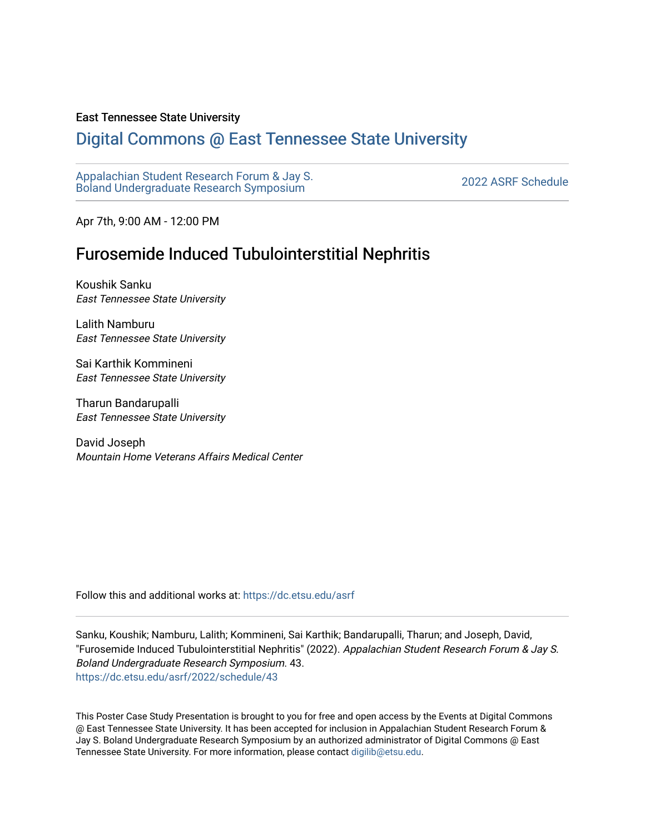## East Tennessee State University

## [Digital Commons @ East Tennessee State University](https://dc.etsu.edu/)

[Appalachian Student Research Forum & Jay S.](https://dc.etsu.edu/asrf)  Appalactifalt Student Research Forum & Jay S.<br>Boland Undergraduate Research Symposium

Apr 7th, 9:00 AM - 12:00 PM

## Furosemide Induced Tubulointerstitial Nephritis

Koushik Sanku East Tennessee State University

Lalith Namburu East Tennessee State University

Sai Karthik Kommineni East Tennessee State University

Tharun Bandarupalli East Tennessee State University

David Joseph Mountain Home Veterans Affairs Medical Center

Follow this and additional works at: [https://dc.etsu.edu/asrf](https://dc.etsu.edu/asrf?utm_source=dc.etsu.edu%2Fasrf%2F2022%2Fschedule%2F43&utm_medium=PDF&utm_campaign=PDFCoverPages) 

Sanku, Koushik; Namburu, Lalith; Kommineni, Sai Karthik; Bandarupalli, Tharun; and Joseph, David, "Furosemide Induced Tubulointerstitial Nephritis" (2022). Appalachian Student Research Forum & Jay S. Boland Undergraduate Research Symposium. 43. [https://dc.etsu.edu/asrf/2022/schedule/43](https://dc.etsu.edu/asrf/2022/schedule/43?utm_source=dc.etsu.edu%2Fasrf%2F2022%2Fschedule%2F43&utm_medium=PDF&utm_campaign=PDFCoverPages) 

This Poster Case Study Presentation is brought to you for free and open access by the Events at Digital Commons @ East Tennessee State University. It has been accepted for inclusion in Appalachian Student Research Forum & Jay S. Boland Undergraduate Research Symposium by an authorized administrator of Digital Commons @ East Tennessee State University. For more information, please contact [digilib@etsu.edu](mailto:digilib@etsu.edu).